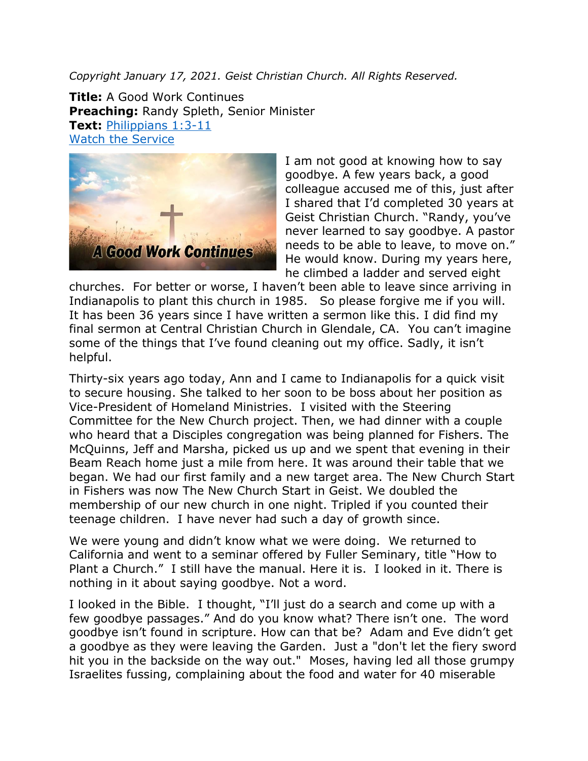*Copyright January 17, 2021. Geist Christian Church. All Rights Reserved.*

**Title:** A Good Work Continues **Preaching:** Randy Spleth, Senior Minister **Text:** [Philippians 1:3-11](https://www.biblegateway.com/passage/?search=Philippians+1%3A3-11&version=NRSV) [Watch the Service](https://youtu.be/3esPtY6mRrY)



I am not good at knowing how to say goodbye. A few years back, a good colleague accused me of this, just after I shared that I'd completed 30 years at Geist Christian Church. "Randy, you've never learned to say goodbye. A pastor needs to be able to leave, to move on." He would know. During my years here, he climbed a ladder and served eight

churches. For better or worse, I haven't been able to leave since arriving in Indianapolis to plant this church in 1985. So please forgive me if you will. It has been 36 years since I have written a sermon like this. I did find my final sermon at Central Christian Church in Glendale, CA. You can't imagine some of the things that I've found cleaning out my office. Sadly, it isn't helpful.

Thirty-six years ago today, Ann and I came to Indianapolis for a quick visit to secure housing. She talked to her soon to be boss about her position as Vice-President of Homeland Ministries. I visited with the Steering Committee for the New Church project. Then, we had dinner with a couple who heard that a Disciples congregation was being planned for Fishers. The McQuinns, Jeff and Marsha, picked us up and we spent that evening in their Beam Reach home just a mile from here. It was around their table that we began. We had our first family and a new target area. The New Church Start in Fishers was now The New Church Start in Geist. We doubled the membership of our new church in one night. Tripled if you counted their teenage children. I have never had such a day of growth since.

We were young and didn't know what we were doing. We returned to California and went to a seminar offered by Fuller Seminary, title "How to Plant a Church." I still have the manual. Here it is. I looked in it. There is nothing in it about saying goodbye. Not a word.

I looked in the Bible. I thought, "I'll just do a search and come up with a few goodbye passages." And do you know what? There isn't one. The word goodbye isn't found in scripture. How can that be? Adam and Eve didn't get a goodbye as they were leaving the Garden. Just a "don't let the fiery sword hit you in the backside on the way out." Moses, having led all those grumpy Israelites fussing, complaining about the food and water for 40 miserable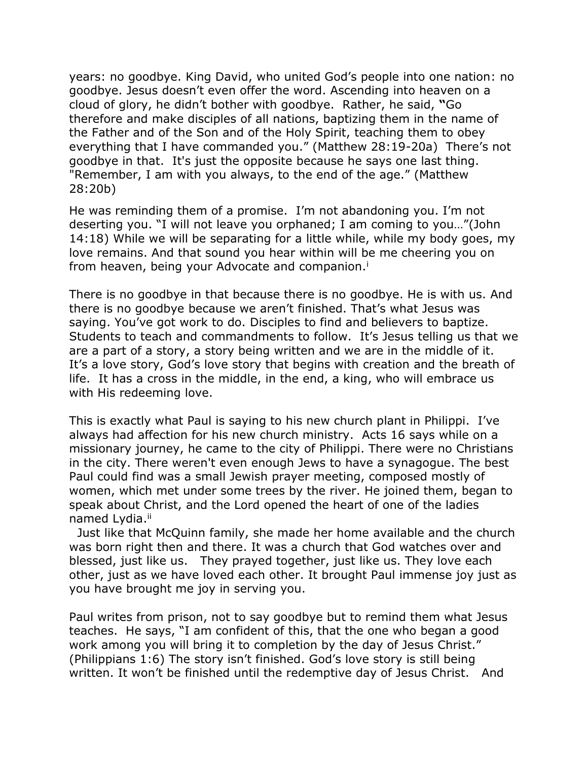years: no goodbye. King David, who united God's people into one nation: no goodbye. Jesus doesn't even offer the word. Ascending into heaven on a cloud of glory, he didn't bother with goodbye. Rather, he said, **"**Go therefore and make disciples of all nations, baptizing them in the name of the Father and of the Son and of the Holy Spirit, teaching them to obey everything that I have commanded you." (Matthew 28:19-20a) There's not goodbye in that. It's just the opposite because he says one last thing. "Remember, I am with you always, to the end of the age." (Matthew 28:20b)

He was reminding them of a promise. I'm not abandoning you. I'm not deserting you. "I will not leave you orphaned; I am coming to you…"(John 14:18) While we will be separating for a little while, while my body goes, my love remains. And that sound you hear within will be me cheering you on from heaven, being your Advocate and companion.<sup>i</sup>

There is no goodbye in that because there is no goodbye. He is with us. And there is no goodbye because we aren't finished. That's what Jesus was saying. You've got work to do. Disciples to find and believers to baptize. Students to teach and commandments to follow. It's Jesus telling us that we are a part of a story, a story being written and we are in the middle of it. It's a love story, God's love story that begins with creation and the breath of life. It has a cross in the middle, in the end, a king, who will embrace us with His redeeming love.

This is exactly what Paul is saying to his new church plant in Philippi. I've always had affection for his new church ministry. Acts 16 says while on a missionary journey, he came to the city of Philippi. There were no Christians in the city. There weren't even enough Jews to have a synagogue. The best Paul could find was a small Jewish prayer meeting, composed mostly of women, which met under some trees by the river. He joined them, began to speak about Christ, and the Lord opened the heart of one of the ladies named Lydia.ii

 Just like that McQuinn family, she made her home available and the church was born right then and there. It was a church that God watches over and blessed, just like us. They prayed together, just like us. They love each other, just as we have loved each other. It brought Paul immense joy just as you have brought me joy in serving you.

Paul writes from prison, not to say goodbye but to remind them what Jesus teaches. He says, "I am confident of this, that the one who began a good work among you will bring it to completion by the day of Jesus Christ." (Philippians 1:6) The story isn't finished. God's love story is still being written. It won't be finished until the redemptive day of Jesus Christ. And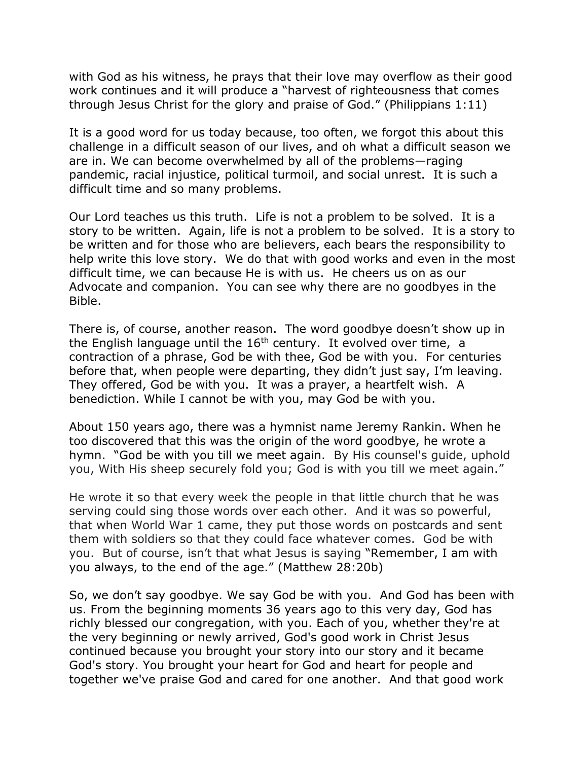with God as his witness, he prays that their love may overflow as their good work continues and it will produce a "harvest of righteousness that comes through Jesus Christ for the glory and praise of God." (Philippians 1:11)

It is a good word for us today because, too often, we forgot this about this challenge in a difficult season of our lives, and oh what a difficult season we are in. We can become overwhelmed by all of the problems—raging pandemic, racial injustice, political turmoil, and social unrest. It is such a difficult time and so many problems.

Our Lord teaches us this truth. Life is not a problem to be solved. It is a story to be written. Again, life is not a problem to be solved. It is a story to be written and for those who are believers, each bears the responsibility to help write this love story. We do that with good works and even in the most difficult time, we can because He is with us. He cheers us on as our Advocate and companion. You can see why there are no goodbyes in the Bible.

There is, of course, another reason. The word goodbye doesn't show up in the English language until the  $16<sup>th</sup>$  century. It evolved over time, a contraction of a phrase, God be with thee, God be with you. For centuries before that, when people were departing, they didn't just say, I'm leaving. They offered, God be with you. It was a prayer, a heartfelt wish. A benediction. While I cannot be with you, may God be with you.

About 150 years ago, there was a hymnist name Jeremy Rankin. When he too discovered that this was the origin of the word goodbye, he wrote a hymn. "God be with you till we meet again. By His counsel's guide, uphold you, With His sheep securely fold you; God is with you till we meet again."

He wrote it so that every week the people in that little church that he was serving could sing those words over each other. And it was so powerful, that when World War 1 came, they put those words on postcards and sent them with soldiers so that they could face whatever comes. God be with you. But of course, isn't that what Jesus is saying "Remember, I am with you always, to the end of the age." (Matthew 28:20b)

So, we don't say goodbye. We say God be with you. And God has been with us. From the beginning moments 36 years ago to this very day, God has richly blessed our congregation, with you. Each of you, whether they're at the very beginning or newly arrived, God's good work in Christ Jesus continued because you brought your story into our story and it became God's story. You brought your heart for God and heart for people and together we've praise God and cared for one another. And that good work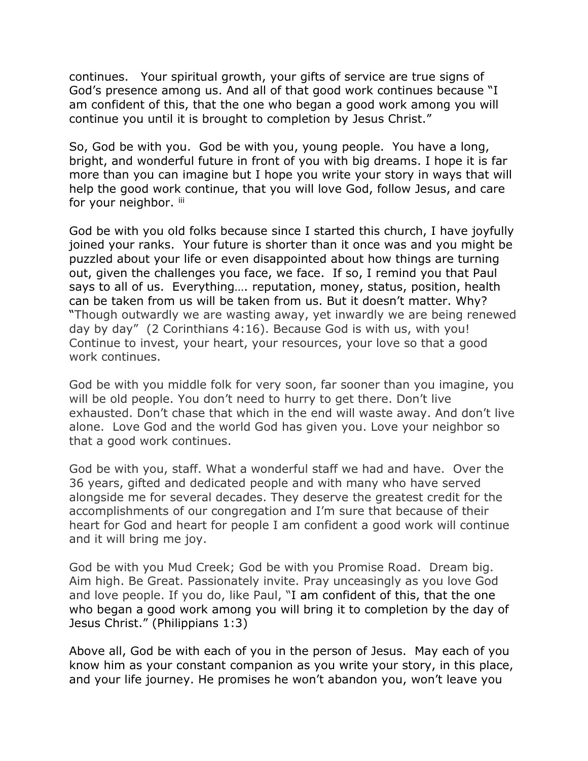continues. Your spiritual growth, your gifts of service are true signs of God's presence among us. And all of that good work continues because "I am confident of this, that the one who began a good work among you will continue you until it is brought to completion by Jesus Christ."

So, God be with you. God be with you, young people. You have a long, bright, and wonderful future in front of you with big dreams. I hope it is far more than you can imagine but I hope you write your story in ways that will help the good work continue, that you will love God, follow Jesus, and care for your neighbor. iii

God be with you old folks because since I started this church, I have joyfully joined your ranks. Your future is shorter than it once was and you might be puzzled about your life or even disappointed about how things are turning out, given the challenges you face, we face. If so, I remind you that Paul says to all of us. Everything…. reputation, money, status, position, health can be taken from us will be taken from us. But it doesn't matter. Why? "Though outwardly we are wasting away, yet inwardly we are being renewed day by day" (2 Corinthians 4:16). Because God is with us, with you! Continue to invest, your heart, your resources, your love so that a good work continues.

God be with you middle folk for very soon, far sooner than you imagine, you will be old people. You don't need to hurry to get there. Don't live exhausted. Don't chase that which in the end will waste away. And don't live alone. Love God and the world God has given you. Love your neighbor so that a good work continues.

God be with you, staff. What a wonderful staff we had and have. Over the 36 years, gifted and dedicated people and with many who have served alongside me for several decades. They deserve the greatest credit for the accomplishments of our congregation and I'm sure that because of their heart for God and heart for people I am confident a good work will continue and it will bring me joy.

God be with you Mud Creek; God be with you Promise Road. Dream big. Aim high. Be Great. Passionately invite. Pray unceasingly as you love God and love people. If you do, like Paul, "I am confident of this, that the one who began a good work among you will bring it to completion by the day of Jesus Christ." (Philippians 1:3)

Above all, God be with each of you in the person of Jesus. May each of you know him as your constant companion as you write your story, in this place, and your life journey. He promises he won't abandon you, won't leave you